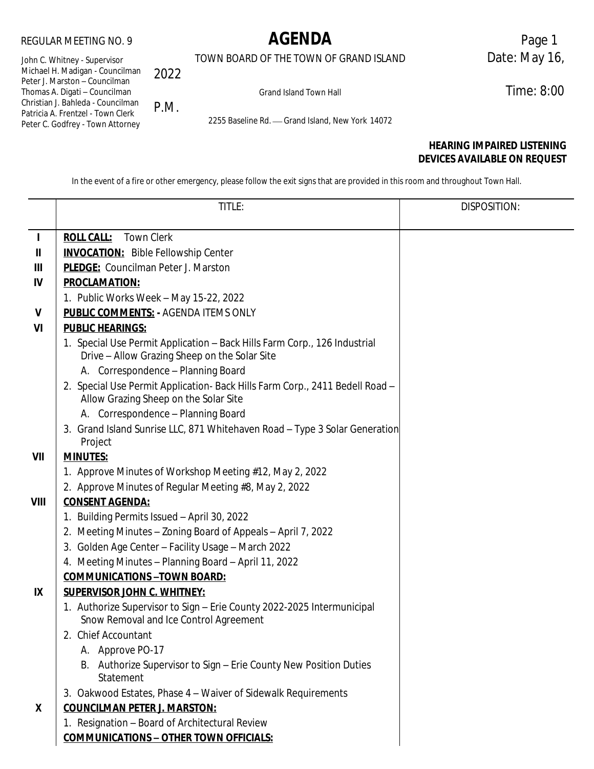TOWN BOARD OF THE TOWN OF GRAND ISLAND Date: May 16,

John C. Whitney - Supervisor Michael H. Madigan - Councilman Peter J. Marston – Councilman Thomas A. Digati – Councilman Christian J. Bahleda - Councilman Patricia A. Frentzel - Town Clerk Peter C. Godfrey - Town Attorney 2022

P.M.

Grand Island Town Hall **Time: 8:00** 

2255 Baseline Rd. - Grand Island, New York 14072

# **HEARING IMPAIRED LISTENING DEVICES AVAILABLE ON REQUEST**

In the event of a fire or other emergency, please follow the exit signs that are provided in this room and throughout Town Hall.

|              | TITLE:                                                                                                           | DISPOSITION: |  |  |  |
|--------------|------------------------------------------------------------------------------------------------------------------|--------------|--|--|--|
|              |                                                                                                                  |              |  |  |  |
| $\mathbf{I}$ | <b>ROLL CALL:</b><br><b>Town Clerk</b>                                                                           |              |  |  |  |
| Ш            | <b>INVOCATION:</b> Bible Fellowship Center                                                                       |              |  |  |  |
| Ш            | PLEDGE: Councilman Peter J. Marston                                                                              |              |  |  |  |
| IV           | <b>PROCLAMATION:</b>                                                                                             |              |  |  |  |
|              | 1. Public Works Week - May 15-22, 2022                                                                           |              |  |  |  |
| $\mathsf{V}$ | <b>PUBLIC COMMENTS: - AGENDA ITEMS ONLY</b>                                                                      |              |  |  |  |
| VI           | <b>PUBLIC HEARINGS:</b>                                                                                          |              |  |  |  |
|              | 1. Special Use Permit Application - Back Hills Farm Corp., 126 Industrial                                        |              |  |  |  |
|              | Drive - Allow Grazing Sheep on the Solar Site                                                                    |              |  |  |  |
|              | A. Correspondence - Planning Board                                                                               |              |  |  |  |
|              | 2. Special Use Permit Application- Back Hills Farm Corp., 2411 Bedell Road -                                     |              |  |  |  |
|              | Allow Grazing Sheep on the Solar Site                                                                            |              |  |  |  |
|              | A. Correspondence - Planning Board                                                                               |              |  |  |  |
|              | 3. Grand Island Sunrise LLC, 871 Whitehaven Road - Type 3 Solar Generation                                       |              |  |  |  |
|              | Project                                                                                                          |              |  |  |  |
| VII          | <b>MINUTES:</b>                                                                                                  |              |  |  |  |
|              | 1. Approve Minutes of Workshop Meeting #12, May 2, 2022                                                          |              |  |  |  |
|              | 2. Approve Minutes of Regular Meeting #8, May 2, 2022                                                            |              |  |  |  |
| VIII         | <b>CONSENT AGENDA:</b>                                                                                           |              |  |  |  |
|              | 1. Building Permits Issued - April 30, 2022                                                                      |              |  |  |  |
|              | 2. Meeting Minutes - Zoning Board of Appeals - April 7, 2022                                                     |              |  |  |  |
|              | 3. Golden Age Center - Facility Usage - March 2022                                                               |              |  |  |  |
|              | 4. Meeting Minutes - Planning Board - April 11, 2022                                                             |              |  |  |  |
|              | <b>COMMUNICATIONS-TOWN BOARD:</b>                                                                                |              |  |  |  |
| IX           | <b>SUPERVISOR JOHN C. WHITNEY:</b>                                                                               |              |  |  |  |
|              | 1. Authorize Supervisor to Sign - Erie County 2022-2025 Intermunicipal<br>Snow Removal and Ice Control Agreement |              |  |  |  |
|              | 2. Chief Accountant                                                                                              |              |  |  |  |
|              | A. Approve PO-17                                                                                                 |              |  |  |  |
|              | B. Authorize Supervisor to Sign - Erie County New Position Duties                                                |              |  |  |  |
|              | Statement                                                                                                        |              |  |  |  |
|              | 3. Oakwood Estates, Phase 4 - Waiver of Sidewalk Requirements                                                    |              |  |  |  |
| X            | <b>COUNCILMAN PETER J. MARSTON:</b>                                                                              |              |  |  |  |
|              | 1. Resignation - Board of Architectural Review                                                                   |              |  |  |  |
|              | <b>COMMUNICATIONS - OTHER TOWN OFFICIALS:</b>                                                                    |              |  |  |  |
|              |                                                                                                                  |              |  |  |  |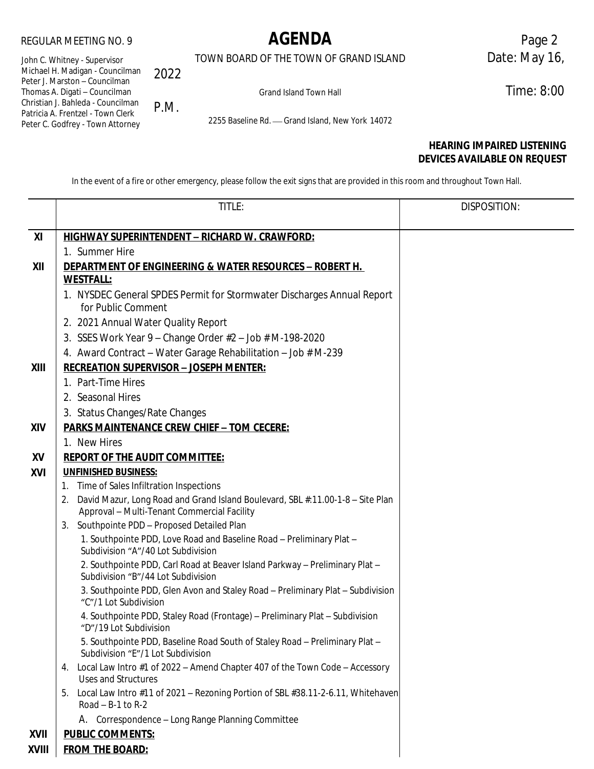TOWN BOARD OF THE TOWN OF GRAND ISLAND Date: May 16,

John C. Whitney - Supervisor Michael H. Madigan - Councilman Peter J. Marston – Councilman Thomas A. Digati – Councilman Christian J. Bahleda - Councilman Patricia A. Frentzel - Town Clerk Peter C. Godfrey - Town Attorney 2022 P.M.

Grand Island Town Hall **Time: 8:00** 

2255 Baseline Rd. - Grand Island, New York 14072

# **HEARING IMPAIRED LISTENING DEVICES AVAILABLE ON REQUEST**

In the event of a fire or other emergency, please follow the exit signs that are provided in this room and throughout Town Hall.

|                                                       | TITLE:                                                                                                                              | DISPOSITION: |  |  |
|-------------------------------------------------------|-------------------------------------------------------------------------------------------------------------------------------------|--------------|--|--|
| XI                                                    | <b>HIGHWAY SUPERINTENDENT - RICHARD W. CRAWFORD:</b>                                                                                |              |  |  |
|                                                       | 1. Summer Hire                                                                                                                      |              |  |  |
| XII                                                   | <u> DEPARTMENT OF ENGINEERING &amp; WATER RESOURCES – ROBERT H. </u>                                                                |              |  |  |
|                                                       | <b>WESTFALL:</b>                                                                                                                    |              |  |  |
|                                                       | 1. NYSDEC General SPDES Permit for Stormwater Discharges Annual Report                                                              |              |  |  |
|                                                       | for Public Comment                                                                                                                  |              |  |  |
|                                                       | 2. 2021 Annual Water Quality Report                                                                                                 |              |  |  |
|                                                       | 3. SSES Work Year 9 - Change Order #2 - Job # M-198-2020                                                                            |              |  |  |
|                                                       | 4. Award Contract - Water Garage Rehabilitation - Job # M-239                                                                       |              |  |  |
| XIII<br><b>RECREATION SUPERVISOR - JOSEPH MENTER:</b> |                                                                                                                                     |              |  |  |
|                                                       | 1. Part-Time Hires                                                                                                                  |              |  |  |
|                                                       | 2. Seasonal Hires                                                                                                                   |              |  |  |
|                                                       | 3. Status Changes/Rate Changes                                                                                                      |              |  |  |
| XIV                                                   | <b>PARKS MAINTENANCE CREW CHIEF - TOM CECERE:</b>                                                                                   |              |  |  |
|                                                       | 1. New Hires                                                                                                                        |              |  |  |
| XV                                                    | <b>REPORT OF THE AUDIT COMMITTEE:</b>                                                                                               |              |  |  |
| XVI                                                   | <b>UNFINISHED BUSINESS:</b>                                                                                                         |              |  |  |
|                                                       | Time of Sales Infiltration Inspections<br>1.                                                                                        |              |  |  |
|                                                       | David Mazur, Long Road and Grand Island Boulevard, SBL #:11.00-1-8 - Site Plan<br>2.<br>Approval - Multi-Tenant Commercial Facility |              |  |  |
|                                                       | Southpointe PDD - Proposed Detailed Plan<br>3.                                                                                      |              |  |  |
|                                                       | 1. Southpointe PDD, Love Road and Baseline Road - Preliminary Plat -<br>Subdivision "A"/40 Lot Subdivision                          |              |  |  |
|                                                       | 2. Southpointe PDD, Carl Road at Beaver Island Parkway - Preliminary Plat -<br>Subdivision "B"/44 Lot Subdivision                   |              |  |  |
|                                                       | 3. Southpointe PDD, Glen Avon and Staley Road - Preliminary Plat - Subdivision<br>"C"/1 Lot Subdivision                             |              |  |  |
|                                                       | 4. Southpointe PDD, Staley Road (Frontage) - Preliminary Plat - Subdivision<br>"D"/19 Lot Subdivision                               |              |  |  |
|                                                       | 5. Southpointe PDD, Baseline Road South of Staley Road - Preliminary Plat -<br>Subdivision "E"/1 Lot Subdivision                    |              |  |  |
|                                                       | Local Law Intro #1 of 2022 - Amend Chapter 407 of the Town Code - Accessory<br>4.<br><b>Uses and Structures</b>                     |              |  |  |
|                                                       | Local Law Intro #11 of 2021 - Rezoning Portion of SBL #38.11-2-6.11, Whitehaven<br>5.<br>Road $- B-1$ to R-2                        |              |  |  |
|                                                       | A. Correspondence - Long Range Planning Committee                                                                                   |              |  |  |
| XVII                                                  | <b>PUBLIC COMMENTS:</b>                                                                                                             |              |  |  |
| XVIII                                                 | <b>FROM THE BOARD:</b>                                                                                                              |              |  |  |